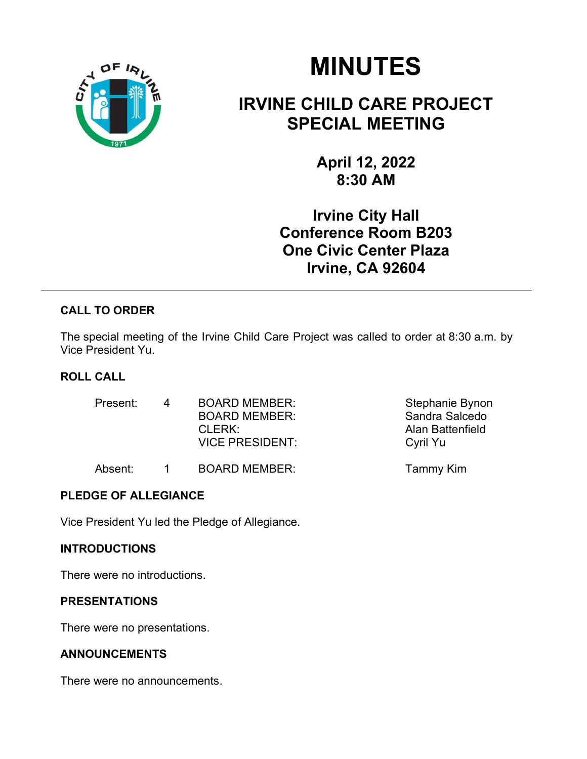

# MINUTES

# IRVINE CHILD CARE PROJECT SPECIAL MEETING

April 12, 2022 8:30 AM

Irvine City Hall Conference Room B203 One Civic Center Plaza Irvine, CA 92604

# CALL TO ORDER

The special meeting of the Irvine Child Care Project was called to order at 8:30 a.m. by Vice President Yu.

# ROLL CALL

| Present: | $\Delta$ | <b>BOARD MEMBER:</b><br><b>BOARD MEMBER:</b><br>CLERK:<br><b>VICE PRESIDENT:</b> | Stephanie Bynon<br>Sandra Salcedo<br>Alan Battenfield<br>Cyril Yu |
|----------|----------|----------------------------------------------------------------------------------|-------------------------------------------------------------------|
| Absent:  |          | <b>BOARD MEMBER:</b>                                                             | Tammy Kim                                                         |

# PLEDGE OF ALLEGIANCE

Vice President Yu led the Pledge of Allegiance.

### INTRODUCTIONS

There were no introductions.

# PRESENTATIONS

There were no presentations.

# ANNOUNCEMENTS

There were no announcements.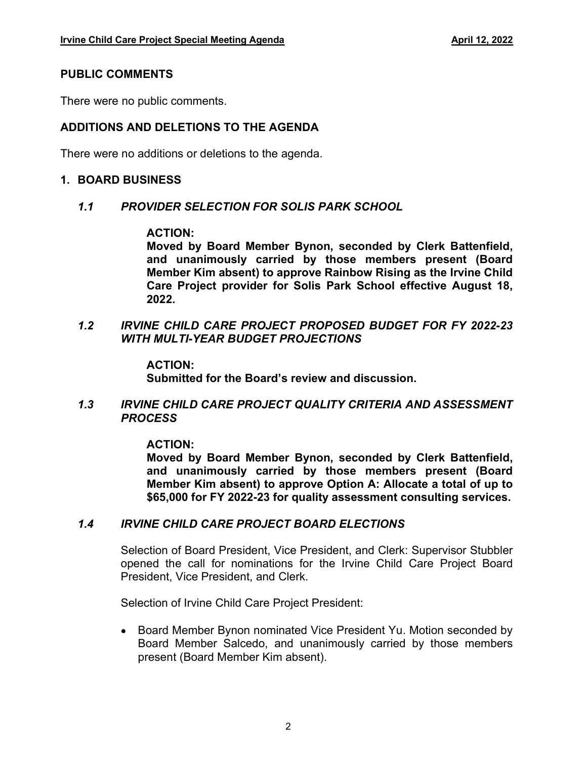#### PUBLIC COMMENTS

There were no public comments.

## ADDITIONS AND DELETIONS TO THE AGENDA

There were no additions or deletions to the agenda.

#### 1. BOARD BUSINESS

#### 1.1 PROVIDER SELECTION FOR SOLIS PARK SCHOOL

#### ACTION:

Moved by Board Member Bynon, seconded by Clerk Battenfield, and unanimously carried by those members present (Board Member Kim absent) to approve Rainbow Rising as the Irvine Child Care Project provider for Solis Park School effective August 18, 2022.

1.2 IRVINE CHILD CARE PROJECT PROPOSED BUDGET FOR FY 2022-23 WITH MULTI-YEAR BUDGET PROJECTIONS

#### ACTION:

Submitted for the Board's review and discussion.

#### 1.3 IRVINE CHILD CARE PROJECT QUALITY CRITERIA AND ASSESSMENT PROCESS

#### ACTION:

Moved by Board Member Bynon, seconded by Clerk Battenfield, and unanimously carried by those members present (Board Member Kim absent) to approve Option A: Allocate a total of up to \$65,000 for FY 2022-23 for quality assessment consulting services.

### 1.4 IRVINE CHILD CARE PROJECT BOARD ELECTIONS

Selection of Board President, Vice President, and Clerk: Supervisor Stubbler opened the call for nominations for the Irvine Child Care Project Board President, Vice President, and Clerk.

Selection of Irvine Child Care Project President:

• Board Member Bynon nominated Vice President Yu. Motion seconded by Board Member Salcedo, and unanimously carried by those members present (Board Member Kim absent).